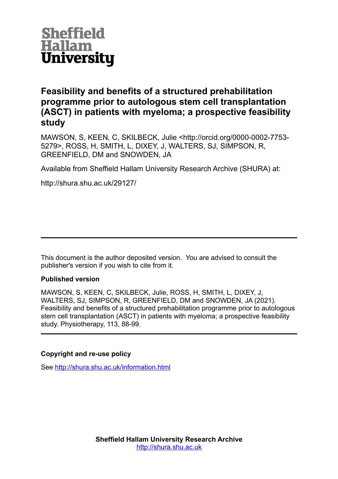

# **Feasibility and benefits of a structured prehabilitation programme prior to autologous stem cell transplantation (ASCT) in patients with myeloma; a prospective feasibility study**

MAWSON, S, KEEN, C, SKILBECK, Julie <http://orcid.org/0000-0002-7753- 5279>, ROSS, H, SMITH, L, DIXEY, J, WALTERS, SJ, SIMPSON, R, GREENFIELD, DM and SNOWDEN, JA

Available from Sheffield Hallam University Research Archive (SHURA) at:

http://shura.shu.ac.uk/29127/

This document is the author deposited version. You are advised to consult the publisher's version if you wish to cite from it.

# **Published version**

MAWSON, S, KEEN, C, SKILBECK, Julie, ROSS, H, SMITH, L, DIXEY, J, WALTERS, SJ, SIMPSON, R, GREENFIELD, DM and SNOWDEN, JA (2021). Feasibility and benefits of a structured prehabilitation programme prior to autologous stem cell transplantation (ASCT) in patients with myeloma; a prospective feasibility study. Physiotherapy, 113, 88-99.

# **Copyright and re-use policy**

See<http://shura.shu.ac.uk/information.html>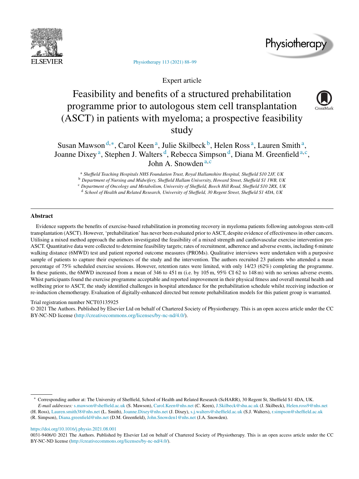



Physiotherapy 113 (2021) 88–99

Expert article

# Feasibility and benefits of a structured prehabilitation programme prior to autologous stem cell transplantation (ASCT) in patients with myeloma; a prospective feasibility study



Susan Mawson<sup>d,∗</sup>, Carol Keen<sup>a</sup>, Julie Skilbeck<sup>b</sup>, Helen Ross<sup>a</sup>, Lauren Smith<sup>a</sup>, Joanne Dixey<sup>a</sup>, Stephen J. Walters<sup>d</sup>, Rebecca Simpson<sup>d</sup>, Diana M. Greenfield<sup>a,c</sup>, John A. Snowden <sup>a</sup>*,*<sup>c</sup>

<sup>a</sup> *Sheffield Teaching Hospitals NHS Foundation Trust, Royal Hallamshire Hospital, Sheffield S10 2JF, UK*

<sup>b</sup> *Department of Nursing and Midwifery, Sheffield Hallam University, Howard Street, Sheffield S1 1WB, UK*

<sup>c</sup> *Department of Oncology and Metabolism, University of Sheffield, Beech Hill Road, Sheffield S10 2RX, UK*

<sup>d</sup> *School of Health and Related Research, University of Sheffield, 30 Regent Street, Sheffield S1 4DA, UK*

# **Abstract**

Evidence supports the benefits of exercise-based rehabilitation in promoting recovery in myeloma patients following autologous stem-cell transplantation (ASCT). However, 'prehabilitation' has never been evaluated prior to ASCT, despite evidence of effectivenessin other cancers. Utilising a mixed method approach the authors investigated the feasibility of a mixed strength and cardiovascular exercise intervention pre-ASCT. Quantitative data were collected to determine feasibility targets; rates of recruitment, adherence and adverse events, including 6 minute walking distance (6MWD) test and patient reported outcome measures (PROMs). Qualitative interviews were undertaken with a purposive sample of patients to capture their experiences of the study and the intervention. The authors recruited 23 patients who attended a mean percentage of 75% scheduled exercise sessions. However, retention rates were limited, with only 14/23 (62%) completing the programme. In these patients, the 6MWD increased from a mean of 346 to 451 m (i.e. by 105 m, 95% CI 62 to 148 m) with no serious adverse events. Whist participants found the exercise programme acceptable and reported improvement in their physical fitness and overall mental health and wellbeing prior to ASCT, the study identified challenges in hospital attendance for the prehabilitation schedule whilst receiving induction or re-induction chemotherapy. Evaluation of digitally-enhanced directed but remote prehabilitation models for this patient group is warranted.

Trial registration number NCT03135925

© 2021 The Authors. Published by Elsevier Ltd on behalf of Chartered Society of Physiotherapy. This is an open access article under the CC BY-NC-ND license (http://creativecommons.org/licenses/by-nc-nd/4.0/).

(H. Ross), Lauren.smith38@nhs.net (L. Smith), Joanne.Dixey@nhs.net (J. Dixey), s.j.walters@sheffield.ac.uk (S.J. Walters), r.simpson@sheffield.ac.uk

https://doi.org/10.1016/j.physio.2021.08.001

<sup>∗</sup> Corresponding author at: The University of Sheffield, School of Health and Related Research (ScHARR), 30 Regent St, Sheffield S1 4DA, UK. *E-mail addresses:* s.mawson@sheffield.ac.uk (S. Mawson), Carol.Keen@nhs.net (C. Keen), J.Skilbeck@shu.ac.uk (J. Skilbeck), Helen.ross9@nhs.net

<sup>(</sup>R. Simpson), Diana.greenfield@nhs.net (D.M. Greenfield), John.Snowden1@nhs.net (J.A. Snowden).

<sup>0031-9406/©</sup> 2021 The Authors. Published by Elsevier Ltd on behalf of Chartered Society of Physiotherapy. This is an open access article under the CC BY-NC-ND license (http://creativecommons.org/licenses/by-nc-nd/4.0/).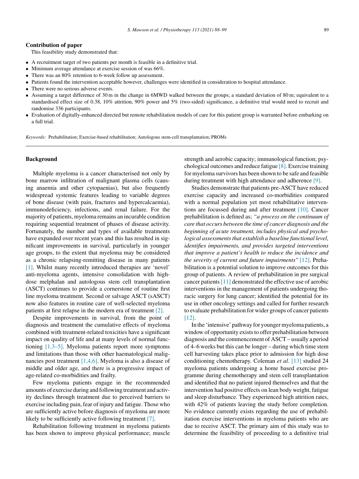#### **Contribution of paper**

This feasibility study demonstrated that:

- A recruitment target of two patients per month is feasible in a definitive trial.<br>• Minimum average attendance at exercise session of was  $66\%$
- Minimum average attendance at exercise session of was 66%.
- There was an 80% retention to 6-week follow up assessment.
- Patients found the intervention acceptable however, challenges were identified in consideration to hospital attendance.
- There were no serious adverse events.
- Assuming a target difference of 30 m in the change in 6MWD walked between the groups; a standard deviation of 80 m; equivalent to a standardised effect size of 0.38, 10% attrition, 90% power and 5% (two-sided) significance, a definitive trial would need to recruit and randomise 336 participants.
- Evaluation of digitally-enhanced directed but remote rehabilitation models of care for this patient group is warranted before embarking on a full trial.

*Keywords:* Prehabilitation; Exercise-based rehabilitation; Autologous stem-cell transplantation; PROMs

# **Background**

Multiple myeloma is a cancer characterised not only by bone marrow infiltration of malignant plasma cells (causing anaemia and other cytopaenias), but also frequently widespread systemic features leading to variable degrees of bone disease (with pain, fractures and hypercalcaemia), immunodeficiency, infections, and renal failure. For the majority of patients, myeloma remains an incurable condition requiring sequential treatment of phases of disease activity. Fortunately, the number and types of available treatments have expanded over recent years and this has resulted in significant improvements in survival, particularly in younger age groups, to the extent that myeloma may be considered as a chronic relapsing-remitting disease in many patients [1]. Whilst many recently introduced therapies are 'novel' anti-myeloma agents, intensive consolidation with highdose melphalan and autologous stem cell transplantation (ASCT) continues to provide a cornerstone of routine first line myeloma treatment. Second or salvage ASCT (sASCT) now also features in routine care of well-selected myeloma patients at first relapse in the modern era of treatment [2].

Despite improvements in survival, from the point of diagnosis and treatment the cumulative effects of myeloma combined with treatment-related toxicities have a significant impact on quality of life and at many levels of normal functioning [1,3–5]. Myeloma patients report more symptoms and limitations than those with other haematological malignancies post treatment [1,4,6]. Myeloma is also a disease of middle and older age, and there is a progressive impact of age-related co-morbidities and frailty.

Few myeloma patients engage in the recommended amounts of exercise during and following treatment and activity declines through treatment due to perceived barriers to exercise including pain, fear of injury and fatigue. Those who are sufficiently active before diagnosis of myeloma are more likely to be sufficiently active following treatment [7].

Rehabilitation following treatment in myeloma patients has been shown to improve physical performance; muscle strength and aerobic capacity; immunological function; psychological outcomes and reduce fatigue [8]. Exercise training for myeloma survivors has been shown to be safe and feasible during treatment with high attendance and adherence [9].

Studies demonstrate that patients pre-ASCT have reduced exercise capacity and increased co-morbidities compared with a normal population yet most rehabilitative interventions are focussed during and after treatment [10]. Cancer prehabilitation is defined as; *"a process on the continuum of care that occurs between the time of cancer diagnosis and the beginning of acute treatment, includes physical and psychological assessmentsthat establish a baseline functional level, identifies impairments, and provides targeted interventions that improve a patient's health to reduce the incidence and the severity of current and future impairments"* [12]. Prehabilitation is a potential solution to improve outcomes for this group of patients. A review of prehabilitation in pre surgical cancer patients[11] demonstrated the effective use of aerobic interventions in the management of patients undergoing thoracic surgery for lung cancer; identified the potential for its use in other oncology settings and called for further research to evaluate prehabilitation for wider groups of cancer patients [12].

In the 'intensive' pathway for youngermyeloma patients, a window of opportunity exists to offer prehabilitation between diagnosis and the commencement of ASCT – usually a period of 4–6 weeks but this can be longer – during which time stem cell harvesting takes place prior to admission for high dose conditioning chemotherapy. Coleman *et al*. [13] studied 24 myeloma patients undergoing a home based exercise programme during chemotherapy and stem cell transplantation and identified that no patient injured themselves and that the intervention had positive effects on lean body weight, fatigue and sleep disturbance. They experienced high attrition rates, with 42% of patients leaving the study before completion. No evidence currently exists regarding the use of prehabilitation exercise interventions in myeloma patients who are due to receive ASCT. The primary aim of this study was to determine the feasibility of proceeding to a definitive trial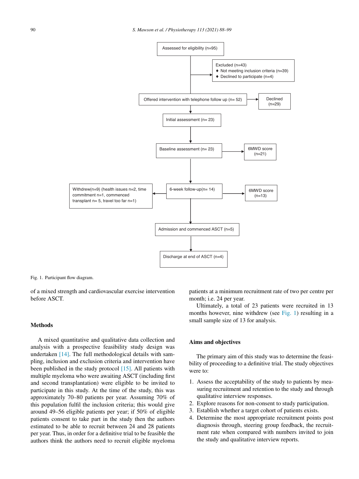

Fig. 1. Participant flow diagram.

of a mixed strength and cardiovascular exercise intervention before ASCT.

#### **Methods**

A mixed quantitative and qualitative data collection and analysis with a prospective feasibility study design was undertaken [14]. The full methodological details with sampling, inclusion and exclusion criteria and intervention have been published in the study protocol [15]. All patients with multiple myeloma who were awaiting ASCT (including first and second transplantation) were eligible to be invited to participate in this study. At the time of the study, this was approximately 70–80 patients per year. Assuming 70% of this population fulfil the inclusion criteria; this would give around 49–56 eligible patients per year; if 50% of eligible patients consent to take part in the study then the authors estimated to be able to recruit between 24 and 28 patients per year. Thus, in order for a definitive trial to be feasible the authors think the authors need to recruit eligible myeloma patients at a minimum recruitment rate of two per centre per month; i.e. 24 per year.

Ultimately, a total of 23 patients were recruited in 13 months however, nine withdrew (see Fig. 1) resulting in a small sample size of 13 for analysis.

# **Aims and objectives**

The primary aim of this study was to determine the feasibility of proceeding to a definitive trial. The study objectives were to:

- 1. Assess the acceptability of the study to patients by measuring recruitment and retention to the study and through qualitative interview responses.
- 2. Explore reasons for non-consent to study participation.
- 3. Establish whether a target cohort of patients exists.
- 4. Determine the most appropriate recruitment points post diagnosis through, steering group feedback, the recruitment rate when compared with numbers invited to join the study and qualitative interview reports.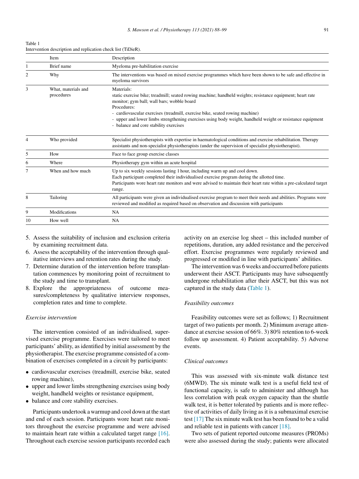Table 1 Intervention description and replication check list (TiDieR).

|                | <b>Item</b>                       | Description                                                                                                                                                                                                                                                                                                                                                                                                                   |
|----------------|-----------------------------------|-------------------------------------------------------------------------------------------------------------------------------------------------------------------------------------------------------------------------------------------------------------------------------------------------------------------------------------------------------------------------------------------------------------------------------|
|                | Brief name                        | Myeloma pre-habilitation exercise                                                                                                                                                                                                                                                                                                                                                                                             |
| $\overline{c}$ | Why                               | The interventions was based on mixed exercise programmes which have been shown to be safe and effective in<br>myeloma survivors                                                                                                                                                                                                                                                                                               |
| 3              | What, materials and<br>procedures | Materials:<br>static exercise bike; treadmill; seated rowing machine; handheld weights; resistance equipment; heart rate<br>monitor; gym ball; wall bars; wobble board<br>Procedures:<br>- cardiovascular exercises (treadmill, exercise bike, seated rowing machine)<br>- upper and lower limbs strengthening exercises using body weight, handheld weight or resistance equipment<br>- balance and core stability exercises |
| 4              | Who provided                      | Specialist physiotherapists with expertise in haematological conditions and exercise rehabilitation. Therapy<br>assistants and non-specialist physiotherapists (under the supervision of specialist physiotherapist).                                                                                                                                                                                                         |
| 5              | How                               | Face to face group exercise classes                                                                                                                                                                                                                                                                                                                                                                                           |
| 6              | Where                             | Physiotherapy gym within an acute hospital                                                                                                                                                                                                                                                                                                                                                                                    |
|                | When and how much                 | Up to six weekly sessions lasting 1 hour, including warm up and cool down.<br>Each participant completed their individualised exercise program during the allotted time.<br>Participants wore heart rate monitors and were advised to maintain their heart rate within a pre-calculated target<br>range.                                                                                                                      |
| 8              | Tailoring                         | All participants were given an individualised exercise program to meet their needs and abilities. Programs were<br>reviewed and modified as required based on observation and discussion with participants                                                                                                                                                                                                                    |
| 9              | Modifications                     | NA.                                                                                                                                                                                                                                                                                                                                                                                                                           |
| 10             | How well                          | <b>NA</b>                                                                                                                                                                                                                                                                                                                                                                                                                     |

- 5. Assess the suitability of inclusion and exclusion criteria by examining recruitment data.
- 6. Assess the acceptability of the intervention through qualitative interviews and retention rates during the study.
- 7. Determine duration of the intervention before transplantation commences by monitoring point of recruitment to the study and time to transplant.
- 8. Explore the appropriateness of outcome measures/completeness by qualitative interview responses, completion rates and time to complete.

#### *Exercise intervention*

The intervention consisted of an individualised, supervised exercise programme. Exercises were tailored to meet participants' ability, as identified by initial assessment by the physiotherapist. The exercise programme consisted of a combination of exercises completed in a circuit by participants:

- cardiovascular exercises (treadmill, exercise bike, seated rowing machine),
- upper and lower limbs strengthening exercises using body weight, handheld weights or resistance equipment,
- balance and core stability exercises.

Participants undertook awarmup and cool down at the start and end of each session. Participants wore heart rate monitors throughout the exercise programme and were advised to maintain heart rate within a calculated target range [16]. Throughout each exercise session participants recorded each

activity on an exercise log sheet – this included number of repetitions, duration, any added resistance and the perceived effort. Exercise programmes were regularly reviewed and progressed or modified in line with participants' abilities.

The intervention was 6 weeks and occurred before patients underwent their ASCT. Participants may have subsequently undergone rehabilitation after their ASCT, but this was not captured in the study data (Table 1).

#### *Feasibility outcomes*

Feasibility outcomes were set as follows; 1) Recruitment target of two patients per month. 2) Minimum average attendance at exercise session of 66%. 3) 80% retention to 6-week follow up assessment. 4) Patient acceptability. 5) Adverse events.

# *Clinical outcomes*

This was assessed with six-minute walk distance test (6MWD). The six minute walk test is a useful field test of functional capacity, is safe to administer and although has less correlation with peak oxygen capacity than the shuttle walk test, it is better tolerated by patients and is more reflective of activities of daily living as it is a submaximal exercise test [17] The six minute walk test has been found to be a valid and reliable test in patients with cancer [18].

Two sets of patient reported outcome measures (PROMs) were also assessed during the study; patients were allocated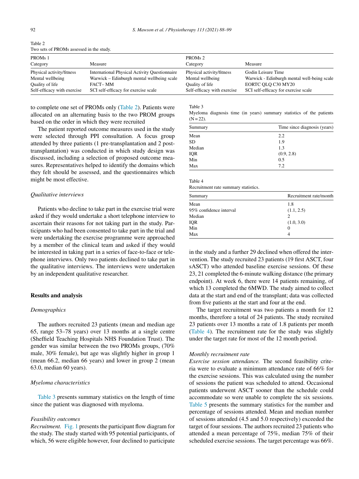| PROM <sub>s</sub> 1         |                                                      | PROM <sub>s</sub> 2         |                                             |
|-----------------------------|------------------------------------------------------|-----------------------------|---------------------------------------------|
| Category                    | Measure                                              | Category                    | Measure                                     |
| Physical activity/fitness   | <b>International Physical Activity Questionnaire</b> | Physical activity/fitness   | Godin Leisure Time                          |
| Mental wellbeing            | Warwick – Edinburgh mental wellbeing scale           | Mental wellbeing            | Warwick - Edinburgh mental well-being scale |
| Quality of life             | FACT– MM                                             | Quality of life             | EORTC OLO C30 MY20                          |
| Self-efficacy with exercise | SCI self-efficacy for exercise scale                 | Self-efficacy with exercise | SCI self-efficacy for exercise scale        |

Table 2 Two sets of PROMs assessed in the study.

to complete one set of PROMs only (Table 2). Patients were allocated on an alternating basis to the two PROM groups based on the order in which they were recruited

The patient reported outcome measures used in the study were selected through PPI consultation. A focus group attended by three patients (1 pre-transplantation and 2 posttransplantation) was conducted in which study design was discussed, including a selection of proposed outcome measures. Representatives helped to identify the domains which they felt should be assessed, and the questionnaires which might be most effective.

#### *Qualitative interviews*

Patients who decline to take part in the exercise trial were asked if they would undertake a short telephone interview to ascertain their reasons for not taking part in the study. Participants who had been consented to take part in the trial and were undertaking the exercise programme were approached by a member of the clinical team and asked if they would be interested in taking part in a series of face-to-face or telephone interviews. Only two patients declined to take part in the qualitative interviews. The interviews were undertaken by an independent qualitative researcher.

# **Results and analysis**

#### *Demographics*

The authors recruited 23 patients (mean and median age 65, range 53–78 years) over 13 months at a single centre (Sheffield Teaching Hospitals NHS Foundation Trust). The gender was similar between the two PROMs groups, (70% male, 30% female), but age was slightly higher in group 1 (mean 66.2, median 66 years) and lower in group 2 (mean 63.0, median 60 years).

#### *Myeloma characteristics*

Table 3 presents summary statistics on the length of time since the patient was diagnosed with myeloma.

#### *Feasibility outcomes*

*Recruitment.* Fig. 1 presents the participant flow diagram for the study. The study started with 95 potential participants, of which, 56 were eligible however, four declined to participate Table 3

Myeloma diagnosis time (in years) summary statistics of the patients  $(N = 22)$ .

| Summary                 | Time since diagnosis (years) |
|-------------------------|------------------------------|
| Mean                    | 2.2                          |
| <b>SD</b>               | 1.9                          |
| Median                  | 1.3                          |
| IQR                     | (0.9, 2.8)                   |
| $\overline{\text{Min}}$ | 0.5                          |
| Max                     | 7.2                          |

Table 4

Recruitment rate summary statistics.

| Summary                 | Recruitment rate/month |
|-------------------------|------------------------|
| Mean                    | 1.8                    |
| 95% confidence interval | (1.1, 2.5)             |
| Median                  | 2                      |
| IQR                     | (1.0, 3.0)             |
| Min                     |                        |
| Max                     |                        |

in the study and a further 29 declined when offered the intervention. The study recruited 23 patients (19 first ASCT, four sASCT) who attended baseline exercise sessions. Of these 23, 21 completed the 6-minute walking distance (the primary endpoint). At week 6, there were 14 patients remaining, of which 13 completed the 6MWD. The study aimed to collect data at the start and end of the transplant; data was collected from five patients at the start and four at the end.

The target recruitment was two patients a month for 12 months, therefore a total of 24 patients. The study recruited 23 patients over 13 months a rate of 1.8 patients per month (Table 4). The recruitment rate for the study was slightly under the target rate for most of the 12 month period.

#### *Monthly recruitment rate*

*Exercise session attendance.* The second feasibility criteria were to evaluate a minimum attendance rate of 66% for the exercise sessions. This was calculated using the number of sessions the patient was scheduled to attend. Occasional patients underwent ASCT sooner than the schedule could accommodate so were unable to complete the six sessions. Table 5 presents the summary statistics for the number and percentage of sessions attended. Mean and median number of sessions attended (4.5 and 5.0 respectively) exceeded the target of four sessions. The authors recruited 23 patients who attended a mean percentage of 75%, median 75% of their scheduled exercise sessions. The target percentage was 66%.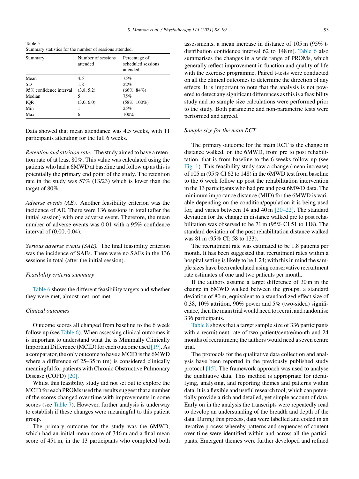Table 5 Summary statistics for the number of sessions attended.

| Summary                 | Number of sessions<br>attended | Percentage of<br>scheduled sessions<br>attended |
|-------------------------|--------------------------------|-------------------------------------------------|
| Mean                    | 4.5                            | 75%                                             |
| SD.                     | 1.8                            | 22%                                             |
| 95% confidence interval | (3.8, 5.2)                     | $(66\%, 84\%)$                                  |
| Median                  |                                | 75%                                             |
| <b>IQR</b>              | (3.0, 6.0)                     | $(58\%, 100\%)$                                 |
| Min                     |                                | 25%                                             |
| Max                     | 6                              | 100%                                            |

Data showed that mean attendance was 4.5 weeks, with 11 participants attending for the full 6 weeks.

*Retention and attrition rate.* The study aimed to have a retention rate of at least 80%. This value was calculated using the patients who had a 6MWD at baseline and follow up asthisis potentially the primary end point of the study. The retention rate in the study was 57% (13/23) which is lower than the target of 80%.

*Adverse events (AE).* Another feasibility criterion was the incidence of AE. There were 136 sessions in total (after the initial session) with one adverse event. Therefore, the mean number of adverse events was 0.01 with a 95% confidence interval of (0.00, 0.04).

*Serious adverse events (SAE).* The final feasibility criterion was the incidence of SAEs. There were no SAEs in the 136 sessions in total (after the initial session).

#### *Feasibility criteria summary*

Table 6 shows the different feasibility targets and whether they were met, almost met, not met.

#### *Clinical outcomes*

Outcome scores all changed from baseline to the 6 week follow up (see Table 6). When assessing clinical outcomes it is important to understand what the is Minimally Clinically Important Difference (MCID) for each outcome used  $[19]$ . As a comparator, the only outcome to have a MCID isthe 6MWD where a difference of  $25-35$  m (m) is considered clinically meaningful for patients with Chronic Obstructive Pulmonary Disease (COPD) [20].

Whilst this feasibility study did not set out to explore the MCID for each PROMs used the results suggest that a number of the scores changed over time with improvements in some scores (see Table 7). However, further analysis is underway to establish if these changes were meaningful to this patient group.

The primary outcome for the study was the 6MWD, which had an initial mean score of 346 m and a final mean score of 451 m, in the 13 participants who completed both assessments, a mean increase in distance of 105 m (95% tdistribution confidence interval 62 to 148 m). Table 6 also summarises the changes in a wide range of PROMs, which generally reflect improvement in function and quality of life with the exercise programme. Paired t-tests were conducted on all the clinical outcomes to determine the direction of any effects. It is important to note that the analysis is not powered to detect any significant differences asthisis a feasibility study and no sample size calculations were performed prior to the study. Both parametric and non-parametric tests were performed and agreed.

#### *Sample size for the main RCT*

The primary outcome for the main RCT is the change in distance walked, on the 6MWD, from pre to post rehabilitation, that is from baseline to the 6 weeks follow up (see Fig. 1). This feasibility study saw a change (mean increase) of 105 m (95% CI 62 to 148) in the 6MWD test from baseline to the 6 week follow up post the rehabilitation intervention in the 13 participants who had pre and post 6MWD data. The minimum importance distance (MID) for the 6MWD is variable depending on the condition/population it is being used for, and varies between 14 and 40 m  $\sqrt{20-22}$ . The standard deviation for the change in distance walked pre to post rehabilitation was observed to be 71 m (95% CI 51 to 118). The standard deviation of the post rehabilitation distance walked was 81 m (95% CI: 58 to 133).

The recruitment rate was estimated to be 1.8 patients per month. It has been suggested that recruitment rates within a hospital setting is likely to be 1.24; with this in mind the sample sizes have been calculated using conservative recruitment rate estimates of one and two patients per month.

If the authors assume a target difference of 30 m in the change in 6MWD walked between the groups; a standard deviation of 80 m; equivalent to a standardized effect size of 0.38, 10% attrition, 90% power and  $5\%$  (two-sided) significance, then themain trial would need to recruit and randomise 336 participants.

Table 8 shows that a target sample size of 336 participants with a recruitment rate of two patient/centre/month and 24 months of recruitment; the authors would need a seven centre trial.

The protocols for the qualitative data collection and analysis have been reported in the previously published study protocol [15]. The framework approach was used to analyse the qualitative data. This method is appropriate for identifying, analysing, and reporting themes and patterns within data. It is a flexible and useful research tool, which can potentially provide a rich and detailed, yet simple account of data. Early on in the analysis the transcripts were repeatedly read to develop an understanding of the breadth and depth of the data. During this process, data were labelled and coded in an iterative process whereby patterns and sequences of content over time were identified within and across all the participants. Emergent themes were further developed and refined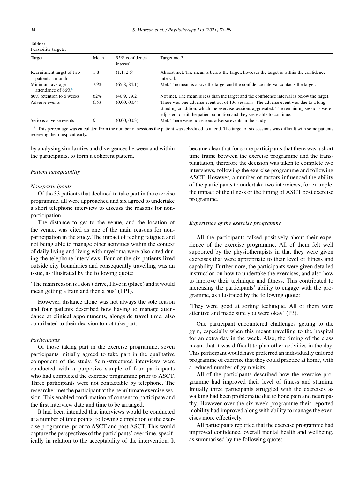| Table 6                    |  |
|----------------------------|--|
| <b>Feasibility targets</b> |  |

| Target                                               | Mean | 95% confidence<br>interval | Target met?                                                                                                                                                                                                                                               |
|------------------------------------------------------|------|----------------------------|-----------------------------------------------------------------------------------------------------------------------------------------------------------------------------------------------------------------------------------------------------------|
| Recruitment target of two<br>patients a month        | 1.8  | (1.1, 2.5)                 | Almost met. The mean is below the target, however the target is within the confidence<br>interval.                                                                                                                                                        |
| Minimum average<br>attendance of $66\%$ <sup>a</sup> | 75%  | (65.8, 84.1)               | Met. The mean is above the target and the confidence interval contacts the target.                                                                                                                                                                        |
| 80% retention to 6 weeks                             | 62%  | (40.9, 79.2)               | Not met. The mean is less than the target and the confidence interval is below the target.                                                                                                                                                                |
| Adverse events                                       | 0.01 | (0.00, 0.04)               | There was one adverse event out of 136 sessions. The adverse event was due to a long<br>standing condition, which the exercise sessions aggravated. The remaining sessions were<br>adjusted to suit the patient condition and they were able to continue. |
| Serious adverse events                               |      | (0.00, 0.03)               | Met. There were no serious adverse events in the study.                                                                                                                                                                                                   |

<sup>a</sup> This percentage was calculated from the number of sessions the patient was scheduled to attend. The target of six sessions was difficult with some patients receiving the transplant early.

by analysing similarities and divergences between and within the participants, to form a coherent pattern.

#### *Patient acceptability*

#### *Non-participants*

Of the 33 patients that declined to take part in the exercise programme, all were approached and six agreed to undertake a short telephone interview to discuss the reasons for nonparticipation.

The distance to get to the venue, and the location of the venue, was cited as one of the main reasons for nonparticipation in the study. The impact of feeling fatigued and not being able to manage other activities within the context of daily living and living with myeloma were also cited during the telephone interviews. Four of the six patients lived outside city boundaries and consequently travelling was an issue, as illustrated by the following quote:

'The main reason isI don't drive, I live in (place) and it would mean getting a train and then a bus' (TP1).

However, distance alone was not always the sole reason and four patients described how having to manage attendance at clinical appointments, alongside travel time, also contributed to their decision to not take part.

# *Participants*

Of those taking part in the exercise programme, seven participants initially agreed to take part in the qualitative component of the study. Semi-structured interviews were conducted with a purposive sample of four participants who had completed the exercise programme prior to ASCT. Three participants were not contactable by telephone. The researcher met the participant at the penultimate exercise session. This enabled confirmation of consent to participate and the first interview date and time to be arranged.

It had been intended that interviews would be conducted at a number of time points: following completion of the exercise programme, prior to ASCT and post ASCT. This would capture the perspectives of the participants' over time, specifically in relation to the acceptability of the intervention. It became clear that for some participants that there was a short time frame between the exercise programme and the transplantation, therefore the decision was taken to complete two interviews, following the exercise programme and following ASCT. However, a number of factors influenced the ability of the participants to undertake two interviews, for example, the impact of the illness or the timing of ASCT post exercise programme.

## *Experience of the exercise programme*

All the participants talked positively about their experience of the exercise programme. All of them felt well supported by the physiotherapists in that they were given exercises that were appropriate to their level of fitness and capability. Furthermore, the participants were given detailed instruction on how to undertake the exercises, and also how to improve their technique and fitness. This contributed to increasing the participants' ability to engage with the programme, as illustrated by the following quote:

'They were good at sorting technique. All of them were attentive and made sure you were okay' (P3).

One participant encountered challenges getting to the gym, especially when this meant travelling to the hospital for an extra day in the week. Also, the timing of the class meant that it was difficult to plan other activities in the day. This participant would have preferred an individually tailored programme of exercise that they could practice at home, with a reduced number of gym visits.

All of the participants described how the exercise programme had improved their level of fitness and stamina. Initially three participants struggled with the exercises as walking had been problematic due to bone pain and neuropathy. However over the six week programme their reported mobility had improved along with ability to manage the exercises more effectively.

All participants reported that the exercise programme had improved confidence, overall mental health and wellbeing, as summarised by the following quote: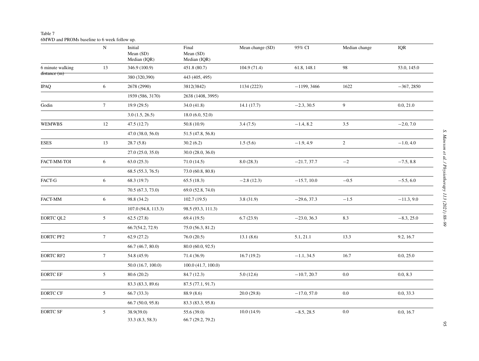# Table 7 6MWD and PROMs baseline to 6 week follow up.

|                  | ${\bf N}$       | Initial<br>Mean $(SD)$<br>Median (IQR) | Final<br>Mean (SD)<br>Median (IQR) | Mean change (SD) | 95% CI        | Median change  | IQR          |
|------------------|-----------------|----------------------------------------|------------------------------------|------------------|---------------|----------------|--------------|
| 6 minute walking | 13              | 346.9 (100.9)                          | 451.8 (80.7)                       | 104.9(71.4)      | 61.8, 148.1   | 98             | 53.0, 145.0  |
| distance(m)      |                 | 380 (320,390)                          | 443 (405, 495)                     |                  |               |                |              |
| <b>IPAQ</b>      | 6               | 2678 (2990)                            | 3812(3842)                         | 1134 (2223)      | $-1199, 3466$ | 1622           | $-367, 2850$ |
|                  |                 | 1939 (586, 3170)                       | 2638 (1408, 3995)                  |                  |               |                |              |
| Godin            | $7\overline{ }$ | 19.9(29.5)                             | 34.0(41.8)                         | 14.1(17.7)       | $-2.3, 30.5$  | 9              | 0.0, 21.0    |
|                  |                 | 3.0(1.5, 26.5)                         | 18.0(6.0, 52.0)                    |                  |               |                |              |
| <b>WEMWBS</b>    | 12              | 47.5(12.7)                             | 50.8(10.9)                         | 3.4(7.5)         | $-1.4, 8.2$   | 3.5            | $-2.0, 7.0$  |
|                  |                 | 47.0 (38.0, 56.0)                      | 51.5 (47.8, 56.8)                  |                  |               |                |              |
| <b>ESES</b>      | 13              | 28.7(5.8)                              | 30.2(6.2)                          | 1.5(5.6)         | $-1.9, 4.9$   | $\overline{2}$ | $-1.0, 4.0$  |
|                  |                 | 27.0(25.0, 35.0)                       | 30.0(28.0, 36.0)                   |                  |               |                |              |
| FACT-MM-TOI      | 6               | 63.0(25.3)                             | 71.0(14.5)                         | 8.0(28.3)        | $-21.7, 37.7$ | $-2$           | $-7.5, 8.8$  |
|                  |                 | 68.5(55.3, 76.5)                       | 73.0 (60.8, 80.8)                  |                  |               |                |              |
| FACT-G           | 6               | 68.3 (19.7)                            | 65.5(18.3)                         | $-2.8(12.3)$     | $-15.7, 10.0$ | $-0.5$         | $-5.5, 6.0$  |
|                  |                 | 70.5 (67.3, 73.0)                      | 69.0 (52.8, 74.0)                  |                  |               |                |              |
| FACT-MM          | 6               | 98.8 (34.2)                            | 102.7(19.5)                        | 3.8(31.9)        | $-29.6, 37.3$ | $-1.5$         | $-11.3, 9.0$ |
|                  |                 | 107.0(94.8, 113.3)                     | 98.5 (93.3, 111.3)                 |                  |               |                |              |
| <b>EORTC QL2</b> | 5 <sup>5</sup>  | 62.5(27.8)                             | 69.4(19.5)                         | 6.7(23.9)        | $-23.0, 36.3$ | 8.3            | $-8.3, 25.0$ |
|                  |                 | 66.7(54.2, 72.9)                       | 75.0 (56.3, 81.2)                  |                  |               |                |              |
| <b>EORTC PF2</b> | $7\phantom{.0}$ | 62.9(27.2)                             | 76.0(20.5)                         | 13.1(8.6)        | 5.1, 21.1     | 13.3           | 9.2, 16.7    |
|                  |                 | 66.7(46.7, 80.0)                       | 80.0 (60.0, 92.5)                  |                  |               |                |              |
| <b>EORTC RF2</b> | $7\overline{ }$ | 54.8 (45.9)                            | 71.4 (36.9)                        | 16.7(19.2)       | $-1.1, 34.5$  | 16.7           | 0.0, 25.0    |
|                  |                 | 50.0(16.7, 100.0)                      | 100.0(41.7, 100.0)                 |                  |               |                |              |
| <b>EORTC EF</b>  | 5 <sup>5</sup>  | 80.6(20.2)                             | 84.7 (12.3)                        | 5.0(12.6)        | $-10.7, 20.7$ | 0.0            | 0.0, 8.3     |
|                  |                 | 83.3 (83.3, 89.6)                      | 87.5 (77.1, 91.7)                  |                  |               |                |              |
| <b>EORTC CF</b>  | 5 <sup>5</sup>  | 66.7(33.3)                             | 88.9 (8.6)                         | 20.0(29.8)       | $-17.0, 57.0$ | 0.0            | 0.0, 33.3    |
|                  |                 | 66.7 (50.0, 95.8)                      | 83.3 (83.3, 95.8)                  |                  |               |                |              |
| <b>EORTC SF</b>  | $\mathfrak{S}$  | 38.9(39.0)<br>33.3 (8.3, 58.3)         | 55.6(39.0)<br>66.7 (29.2, 79.2)    | 10.0(14.9)       | $-8.5, 28.5$  | $0.0\,$        | 0.0, 16.7    |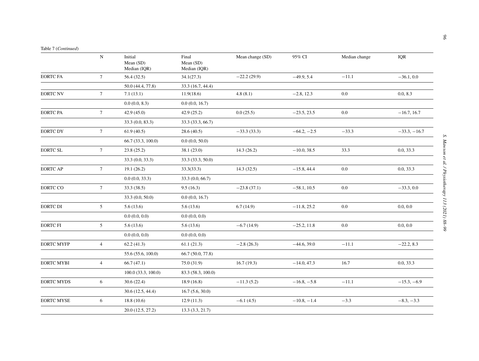|                   | $\mathbf N$     | Initial<br>Mean (SD)<br>Median (IQR) | Final<br>Mean (SD)<br>Median (IQR) | Mean change (SD) | 95% CI        | Median change | <b>IQR</b>     |
|-------------------|-----------------|--------------------------------------|------------------------------------|------------------|---------------|---------------|----------------|
| <b>EORTC FA</b>   | $7\overline{ }$ | 56.4(32.5)                           | 34.1(27.3)                         | $-22.2(29.9)$    | $-49.9, 5.4$  | $-11.1$       | $-36.1, 0.0$   |
|                   |                 | 50.0 (44.4, 77.8)                    | 33.3 (16.7, 44.4)                  |                  |               |               |                |
| <b>EORTC NV</b>   | $7\overline{ }$ | 7.1(13.1)                            | 11.9(18.6)                         | 4.8(8.1)         | $-2.8, 12.3$  | 0.0           | 0.0, 8.3       |
|                   |                 | 0.0(0.0, 8.3)                        | 0.0(0.0, 16.7)                     |                  |               |               |                |
| <b>EORTC PA</b>   | $7\overline{ }$ | 42.9(45.0)                           | 42.9(25.2)                         | 0.0(25.5)        | $-23.5, 23.5$ | $0.0\,$       | $-16.7, 16.7$  |
|                   |                 | 33.3(0.0, 83.3)                      | 33.3 (33.3, 66.7)                  |                  |               |               |                |
| <b>EORTC DY</b>   | $7\overline{ }$ | 61.9(40.5)                           | 28.6(40.5)                         | $-33.3(33.3)$    | $-64.2, -2.5$ | $-33.3$       | $-33.3, -16.7$ |
|                   |                 | 66.7 (33.3, 100.0)                   | 0.0(0.0, 50.0)                     |                  |               |               |                |
| <b>EORTC SL</b>   | $7\overline{ }$ | 23.8(25.2)                           | 38.1(23.0)                         | 14.3(26.2)       | $-10.0, 38.5$ | 33.3          | 0.0, 33.3      |
|                   |                 | 33.3(0.0, 33.3)                      | 33.3 (33.3, 50.0)                  |                  |               |               |                |
| <b>EORTC AP</b>   | $7\overline{ }$ | 19.1(26.2)                           | 33.3(33.3)                         | 14.3(32.5)       | $-15.8, 44.4$ | 0.0           | 0.0, 33.3      |
|                   |                 | 0.0(0.0, 33.3)                       | 33.3(0.0, 66.7)                    |                  |               |               |                |
| <b>EORTC CO</b>   | $7\phantom{.0}$ | 33.3 (38.5)                          | 9.5(16.3)                          | $-23.8(37.1)$    | $-58.1, 10.5$ | $0.0\,$       | $-33.3, 0.0$   |
|                   |                 | 33.3(0.0, 50.0)                      | 0.0(0.0, 16.7)                     |                  |               |               |                |
| <b>EORTC DI</b>   | 5               | 5.6(13.6)                            | 5.6(13.6)                          | 6.7(14.9)        | $-11.8, 25.2$ | 0.0           | 0.0, 0.0       |
|                   |                 | 0.0(0.0, 0.0)                        | 0.0(0.0, 0.0)                      |                  |               |               |                |
| <b>EORTC FI</b>   | $5\overline{)}$ | 5.6(13.6)                            | 5.6(13.6)                          | $-6.7(14.9)$     | $-25.2, 11.8$ | $0.0\,$       | 0.0, 0.0       |
|                   |                 | 0.0(0.0, 0.0)                        | 0.0(0.0, 0.0)                      |                  |               |               |                |
| <b>EORTC MYFP</b> | $\overline{4}$  | 62.2(41.3)                           | 61.1(21.3)                         | $-2.8(26.3)$     | $-44.6, 39.0$ | $-11.1$       | $-22.2, 8.3$   |
|                   |                 | 55.6 (55.6, 100.0)                   | 66.7 (50.0, 77.8)                  |                  |               |               |                |
| <b>EORTC MYBI</b> | $\overline{4}$  | 66.7(47.1)                           | 75.0(31.9)                         | 16.7(19.3)       | $-14.0, 47.3$ | 16.7          | 0.0, 33.3      |
|                   |                 | $100.0$ $(33.3, 100.0)$              | 83.3 (58.3, 100.0)                 |                  |               |               |                |
| <b>EORTC MYDS</b> | 6               | 30.6(22.4)                           | 18.9(16.8)                         | $-11.3(5.2)$     | $-16.8, -5.8$ | $-11.1$       | $-15.3, -6.9$  |
|                   |                 | 30.6(12.5, 44.4)                     | 16.7(5.6, 30.0)                    |                  |               |               |                |
| <b>EORTC MYSE</b> | 6               | 18.8(10.6)                           | 12.9(11.3)                         | $-6.1(4.5)$      | $-10.8, -1.4$ | $-3.3$        | $-8.3, -3.3$   |
|                   |                 | 20.0 (12.5, 27.2)                    | 13.3(3.3, 21.7)                    |                  |               |               |                |
|                   |                 |                                      |                                    |                  |               |               |                |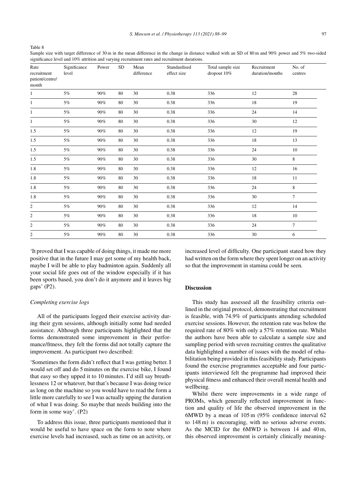Table 8

Sample size with target difference of 30 m in the mean difference in the change in distance walked with an SD of 80 m and 90% power and 5% two-sided significance level and 10% attrition and varying recruitment rates and recruitment durations.

| Rate<br>recruitment<br>patient/centre/<br>month | Significance<br>level | Power  | SD     | Mean<br>difference | Standardised<br>effect size | Total sample size<br>dropout 10% | Recruitment<br>duration/months | No. of<br>centres |
|-------------------------------------------------|-----------------------|--------|--------|--------------------|-----------------------------|----------------------------------|--------------------------------|-------------------|
| 1                                               | $5\%$                 | $90\%$ | 80     | 30                 | 0.38                        | 336                              | 12                             | $28\,$            |
| 1                                               | 5%                    | 90%    | 80     | 30                 | 0.38                        | 336                              | 18                             | 19                |
| 1                                               | $5\%$                 | 90%    | 80     | 30                 | $0.38\,$                    | 336                              | 24                             | 14                |
| 1                                               | $5\%$                 | 90%    | 80     | 30                 | $0.38\,$                    | 336                              | $30\,$                         | 12                |
| 1.5                                             | $5\%$                 | 90%    | 80     | 30                 | 0.38                        | 336                              | 12                             | 19                |
| 1.5                                             | $5\%$                 | 90%    | 80     | 30                 | 0.38                        | 336                              | $18\,$                         | 13                |
| 1.5                                             | 5%                    | 90%    | 80     | 30                 | $0.38\,$                    | 336                              | 24                             | 10                |
| 1.5                                             | 5%                    | 90%    | 80     | 30                 | $0.38\,$                    | 336                              | 30                             | $\,8\,$           |
| $1.8\,$                                         | $5\%$                 | 90%    | $80\,$ | 30                 | 0.38                        | 336                              | $12\,$                         | 16                |
| $1.8\,$                                         | $5\%$                 | $90\%$ | 80     | 30                 | $0.38\,$                    | 336                              | $18\,$                         | $11\,$            |
| $1.8\,$                                         | 5%                    | 90%    | 80     | 30                 | $0.38\,$                    | 336                              | 24                             | $\,$ 8 $\,$       |
| 1.8                                             | $5\%$                 | 90%    | 80     | 30                 | 0.38                        | 336                              | $30\,$                         | $\overline{7}$    |
| $\overline{c}$                                  | 5%                    | 90%    | 80     | 30                 | 0.38                        | 336                              | 12                             | 14                |
| $\overline{c}$                                  | $5\%$                 | 90%    | 80     | 30                 | $0.38\,$                    | 336                              | $18\,$                         | 10                |
| $\overline{c}$                                  | $5\%$                 | 90%    | 80     | 30                 | 0.38                        | 336                              | 24                             | $\overline{7}$    |
| $\overline{c}$                                  | $5\%$                 | $90\%$ | 80     | 30                 | 0.38                        | 336                              | 30                             | 6                 |

'It proved that I was capable of doing things, it made me more positive that in the future I may get some of my health back, maybe I will be able to play badminton again. Suddenly all your social life goes out of the window especially if it has been sports based, you don't do it anymore and it leaves big gaps' (P2).

# *Completing exercise logs*

All of the participants logged their exercise activity during their gym sessions, although initially some had needed assistance. Although three participants highlighted that the forms demonstrated some improvement in their performance/fitness, they felt the forms did not totally capture the improvement. As participant two described:

'Sometimes the form didn't reflect that I was getting better. I would set off and do 5 minutes on the exercise bike, I found that easy so they upped it to 10 minutes. I'd still say breathlessness 12 or whatever, but that's because I was doing twice as long on the machine so you would have to read the form a little more carefully to see I was actually upping the duration of what I was doing. So maybe that needs building into the form in some way'. (P2)

To address this issue, three participants mentioned that it would be useful to have space on the form to note where exercise levels had increased, such as time on an activity, or increased level of difficulty. One participant stated how they had written on the form where they spent longer on an activity so that the improvement in stamina could be seen.

#### **Discussion**

This study has assessed all the feasibility criteria outlined in the original protocol, demonstrating that recruitment is feasible, with 74.9% of participants attending scheduled exercise sessions. However, the retention rate was below the required rate of 80% with only a 57% retention rate. Whilst the authors have been able to calculate a sample size and sampling period with seven recruiting centres the qualitative data highlighted a number of issues with the model of rehabilitation being provided in this feasibility study. Participants found the exercise programmes acceptable and four participants interviewed felt the programme had improved their physical fitness and enhanced their overall mental health and wellbeing.

Whilst there were improvements in a wide range of PROMs, which generally reflected improvement in function and quality of life the observed improvement in the 6MWD by a mean of 105 m (95% confidence interval 62 to 148 m) is encouraging, with no serious adverse events. As the MCID for the 6MWD is between 14 and 40 m, this observed improvement is certainly clinically meaning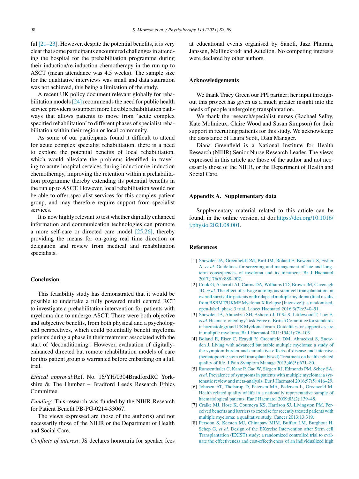ful  $[21-23]$ . However, despite the potential benefits, it is very clear that some participants encountered challenges in attending the hospital for the prehabilitation programme during their induction/re-induction chemotherapy in the run up to ASCT (mean attendance was 4.5 weeks). The sample size for the qualitative interviews was small and data saturation was not achieved, this being a limitation of the study.

A recent UK policy document relevant globally for rehabilitation models  $[24]$  recommends the need for public health service providers to support more flexible rehabilitation pathways that allows patients to move from 'acute complex specified rehabilitation' to different phases of specialist rehabilitation within their region or local community.

As some of our participants found it difficult to attend for acute complex specialist rehabilitation, there is a need to explore the potential benefits of local rehabilitation, which would alleviate the problems identified in traveling to acute hospital services during induction/re-induction chemotherapy, improving the retention within a prehabilitation programme thereby extending its potential benefits in the run up to ASCT. However, local rehabilitation would not be able to offer specialist services for this complex patient group, and may therefore require support from specialist services.

It is now highly relevant to test whether digitally enhanced information and communication technologies can promote a more self-care or directed care model  $[25,26]$ , thereby providing the means for on-going real time direction or delegation and review from medical and rehabilitation specialists.

# **Conclusion**

This feasibility study has demonstrated that it would be possible to undertake a fully powered multi centred RCT to investigate a prehabilitation intervention for patients with myeloma due to undergo ASCT. There were both objective and subjective benefits, from both physical and a psychological perspectives, which could potentially benefit myeloma patients during a phase in their treatment associated with the start of 'deconditioning'. However, evaluation of digitallyenhanced directed but remote rehabilitation models of care for this patient group is warranted before embarking on a full trial.

*Ethical approval*:Ref. No. 16/YH/0304BradfordRC Yorkshire & The Humber – Bradford Leeds Research Ethics Committee.

*Funding*: This research was funded by the NIHR Research for Patient Benefit PB-PG-0214-33067.

The views expressed are those of the author(s) and not necessarily those of the NIHR or the Department of Health and Social Care.

*Conflicts of interest*: JS declares honoraria for speaker fees

at educational events organised by Sanofi, Jazz Pharma, Janssen, Mallinckrodt and Actelion. No competing interests were declared by other authors.

## **Acknowledgements**

We thank Tracy Green our PPI partner; her input throughout this project has given us a much greater insight into the needs of people undergoing transplantation.

We thank the research/specialist nurses (Rachael Selby, Kate Molinieux, Claire Wood and Susan Simpson) for their support in recruiting patients for this study. We acknowledge the assistance of Laura Scott, Data Manager.

Diana Greenfield is a National Institute for Health Research (NIHR) Senior Nurse Research Leader. The views expressed in this article are those of the author and not necessarily those of the NIHR, or the Department of Health and Social Care.

# **Appendix A. Supplementary data**

Supplementary material related to this article can be found, in the online version, at doi:https://doi.org/10.1016/ j.physio.2021.08.001.

# **References**

- [1] Snowden JA, Greenfield DM, Bird JM, Boland E, Bowcock S, Fisher A, *et al.* Guidelines for screening and management of late and longterm consequences of myeloma and its treatment. Br J Haematol 2017;176(6):888–907.
- [2] Cook G, Ashcroft AJ, Cairns DA, Williams CD, Brown JM, Cavenagh JD, *et al.* The effect of salvage autologous stem-cell transplantation on overall survival in patients with relapsed multiple myeloma (final results from BSBMT/UKMF Myeloma X Relapse [Intensive]): a randomised, open-label, phase 3 trial. Lancet Haematol 2016;3(7):e340–51.
- [3] Snowden JA, Ahmedzai SH, Ashcroft J, D'Sa S, Littlewood T, Low E, *et al.* Haemato-oncology Task Force of British Committee for standards in haematology and UK Myeloma forum. Guidelines for supportive care in muliptle myeloma. Br J Haematol 2011;154(1):76–103.
- [4] Boland E, Eiser C, Ezaydi Y, Greenfield DM, Ahmedzai S, Snowden J. Living with advanced but stable multiple myeloma: a study of the symptom burden and cumulative effects of disease and intensive (hematopoietic stem cell transplant based) Treatment on health-related quality of life. J Pain Symptom Manage 2013;46(5):671–80.
- [5] Ramsenthaler C, Kane P, Gao W, Siegert RJ, Edmonds PM, Schey SA, *et al.* Prevalence of symptoms in patients with multiple myeloma: a systematic review and meta-analysis. Eur J Haematol 2016;97(5):416–29.
- [6] Johnsen AT, Tholstrup D, Petersen MA, Pedersen L, Groenvold M. Health related quality of life in a nationally representative sample of haematological patients. Eur J Haematol 2009;83(2):139–48.
- [7] Craike MJ, Hose K, Courneya KS, Harrison SJ, Livingston PM. Perceived benefits and barriers to exercise for recently treated patients with multiple myeloma: a qualitative study. Cancer 2013;13:319.
- [8] Persoon S, Kersten MJ, Chinapaw MJM, Buffart LM, Burghout H, Schep G, *et al.* Design of the EXercise Intervention after Stem cell Transplantation (EXIST) study: a randomized controlled trial to evaluate the effectiveness and cost-effectiveness of an individualized high